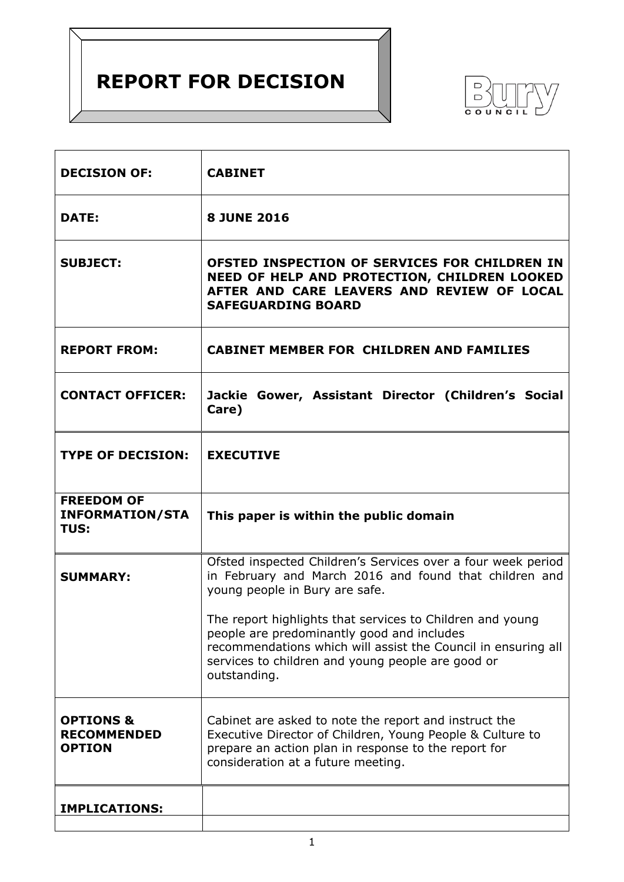# **REPORT FOR DECISION**



| <b>DECISION OF:</b>                                         | <b>CABINET</b>                                                                                                                                                                                                                                                                                                                                                                                            |  |  |  |
|-------------------------------------------------------------|-----------------------------------------------------------------------------------------------------------------------------------------------------------------------------------------------------------------------------------------------------------------------------------------------------------------------------------------------------------------------------------------------------------|--|--|--|
| <b>DATE:</b>                                                | <b>8 JUNE 2016</b>                                                                                                                                                                                                                                                                                                                                                                                        |  |  |  |
| <b>SUBJECT:</b>                                             | OFSTED INSPECTION OF SERVICES FOR CHILDREN IN<br>NEED OF HELP AND PROTECTION, CHILDREN LOOKED<br>AFTER AND CARE LEAVERS AND REVIEW OF LOCAL<br><b>SAFEGUARDING BOARD</b>                                                                                                                                                                                                                                  |  |  |  |
| <b>REPORT FROM:</b>                                         | <b>CABINET MEMBER FOR CHILDREN AND FAMILIES</b>                                                                                                                                                                                                                                                                                                                                                           |  |  |  |
| <b>CONTACT OFFICER:</b>                                     | Jackie Gower, Assistant Director (Children's Social<br>Care)                                                                                                                                                                                                                                                                                                                                              |  |  |  |
| <b>TYPE OF DECISION:</b>                                    | <b>EXECUTIVE</b>                                                                                                                                                                                                                                                                                                                                                                                          |  |  |  |
| <b>FREEDOM OF</b><br><b>INFORMATION/STA</b><br>TUS:         | This paper is within the public domain                                                                                                                                                                                                                                                                                                                                                                    |  |  |  |
| <b>SUMMARY:</b>                                             | Ofsted inspected Children's Services over a four week period<br>in February and March 2016 and found that children and<br>young people in Bury are safe.<br>The report highlights that services to Children and young<br>people are predominantly good and includes<br>recommendations which will assist the Council in ensuring all<br>services to children and young people are good or<br>outstanding. |  |  |  |
| <b>OPTIONS &amp;</b><br><b>RECOMMENDED</b><br><b>OPTION</b> | Cabinet are asked to note the report and instruct the<br>Executive Director of Children, Young People & Culture to<br>prepare an action plan in response to the report for<br>consideration at a future meeting.                                                                                                                                                                                          |  |  |  |
| <b>IMPLICATIONS:</b>                                        |                                                                                                                                                                                                                                                                                                                                                                                                           |  |  |  |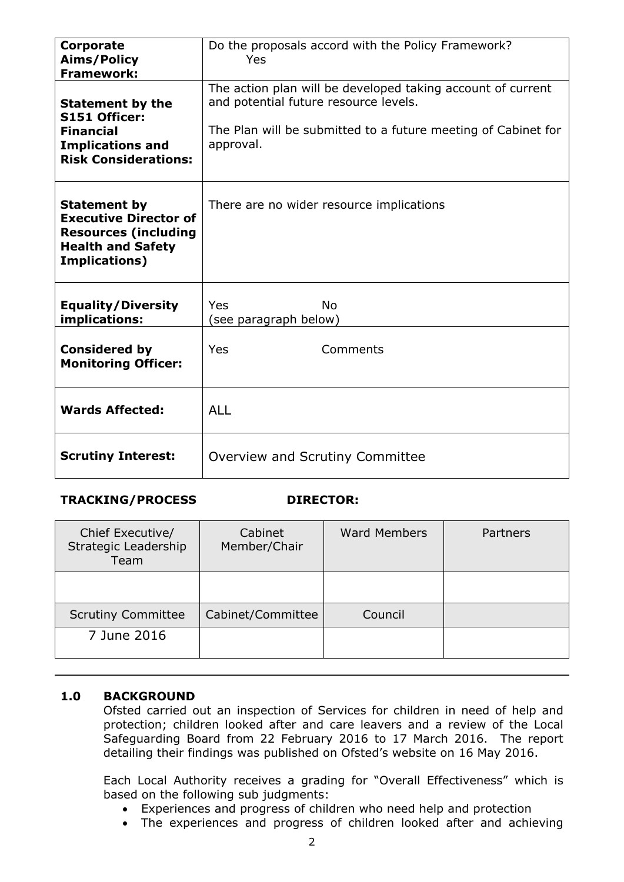| Corporate<br><b>Aims/Policy</b><br><b>Framework:</b>                                                                                   | Do the proposals accord with the Policy Framework?<br>Yes                                                                                                                          |  |  |  |
|----------------------------------------------------------------------------------------------------------------------------------------|------------------------------------------------------------------------------------------------------------------------------------------------------------------------------------|--|--|--|
| <b>Statement by the</b><br>S151 Officer:<br><b>Financial</b><br><b>Implications and</b><br><b>Risk Considerations:</b>                 | The action plan will be developed taking account of current<br>and potential future resource levels.<br>The Plan will be submitted to a future meeting of Cabinet for<br>approval. |  |  |  |
| <b>Statement by</b><br><b>Executive Director of</b><br><b>Resources (including</b><br><b>Health and Safety</b><br><b>Implications)</b> | There are no wider resource implications                                                                                                                                           |  |  |  |
| <b>Equality/Diversity</b><br>implications:                                                                                             | <b>No</b><br><b>Yes</b><br>(see paragraph below)                                                                                                                                   |  |  |  |
| <b>Considered by</b><br><b>Monitoring Officer:</b>                                                                                     | Yes<br>Comments                                                                                                                                                                    |  |  |  |
| <b>Wards Affected:</b>                                                                                                                 | <b>ALL</b>                                                                                                                                                                         |  |  |  |
| <b>Scrutiny Interest:</b>                                                                                                              | Overview and Scrutiny Committee                                                                                                                                                    |  |  |  |

#### **TRACKING/PROCESS DIRECTOR:**

| Chief Executive/<br>Strategic Leadership<br>Team | Cabinet<br>Member/Chair | <b>Ward Members</b> | Partners |
|--------------------------------------------------|-------------------------|---------------------|----------|
|                                                  |                         |                     |          |
| <b>Scrutiny Committee</b>                        | Cabinet/Committee       | Council             |          |
| 7 June 2016                                      |                         |                     |          |

### **1.0 BACKGROUND**

Ofsted carried out an inspection of Services for children in need of help and protection; children looked after and care leavers and a review of the Local Safeguarding Board from 22 February 2016 to 17 March 2016. The report detailing their findings was published on Ofsted's website on 16 May 2016.

Each Local Authority receives a grading for "Overall Effectiveness" which is based on the following sub judgments:

- Experiences and progress of children who need help and protection
- The experiences and progress of children looked after and achieving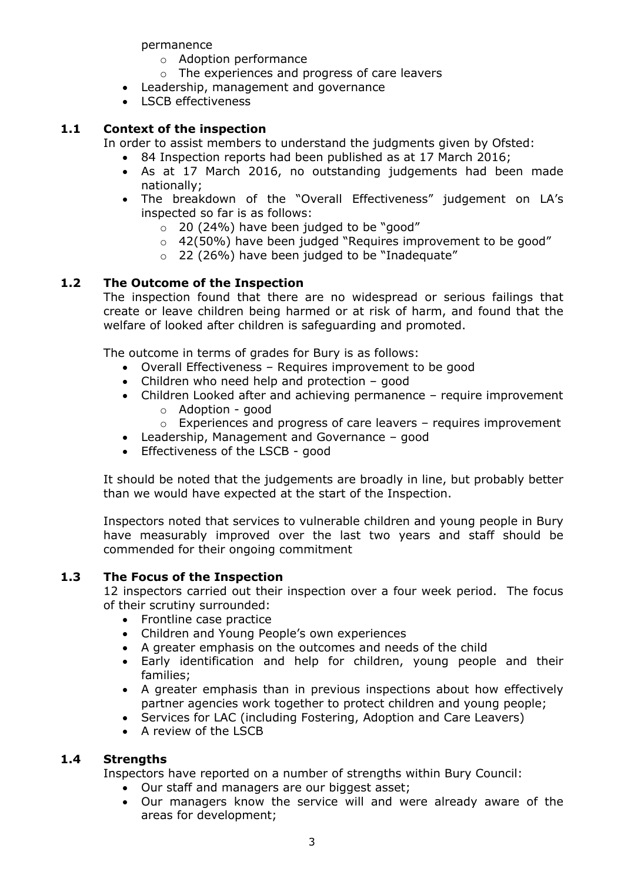permanence

- o Adoption performance
- o The experiences and progress of care leavers
- Leadership, management and governance
- LSCB effectiveness

#### **1.1 Context of the inspection**

In order to assist members to understand the judgments given by Ofsted:

- 84 Inspection reports had been published as at 17 March 2016;
- As at 17 March 2016, no outstanding judgements had been made nationally;
- The breakdown of the "Overall Effectiveness" judgement on LA's inspected so far is as follows:
	- $\circ$  20 (24%) have been judged to be "good"
	- $\circ$  42(50%) have been judged "Requires improvement to be good"
	- $\circ$  22 (26%) have been judged to be "Inadequate"

#### **1.2 The Outcome of the Inspection**

The inspection found that there are no widespread or serious failings that create or leave children being harmed or at risk of harm, and found that the welfare of looked after children is safeguarding and promoted.

The outcome in terms of grades for Bury is as follows:

- Overall Effectiveness Requires improvement to be good
- Children who need help and protection good
- Children Looked after and achieving permanence require improvement
	- o Adoption good
	- $\circ$  Experiences and progress of care leavers requires improvement
- Leadership, Management and Governance good
- Effectiveness of the LSCB good

It should be noted that the judgements are broadly in line, but probably better than we would have expected at the start of the Inspection.

Inspectors noted that services to vulnerable children and young people in Bury have measurably improved over the last two years and staff should be commended for their ongoing commitment

#### **1.3 The Focus of the Inspection**

12 inspectors carried out their inspection over a four week period. The focus of their scrutiny surrounded:

- Frontline case practice
- Children and Young People's own experiences
- A greater emphasis on the outcomes and needs of the child
- Early identification and help for children, young people and their families;
- A greater emphasis than in previous inspections about how effectively partner agencies work together to protect children and young people;
- Services for LAC (including Fostering, Adoption and Care Leavers)
- A review of the LSCB

#### **1.4 Strengths**

Inspectors have reported on a number of strengths within Bury Council:

- Our staff and managers are our biggest asset;
- Our managers know the service will and were already aware of the areas for development;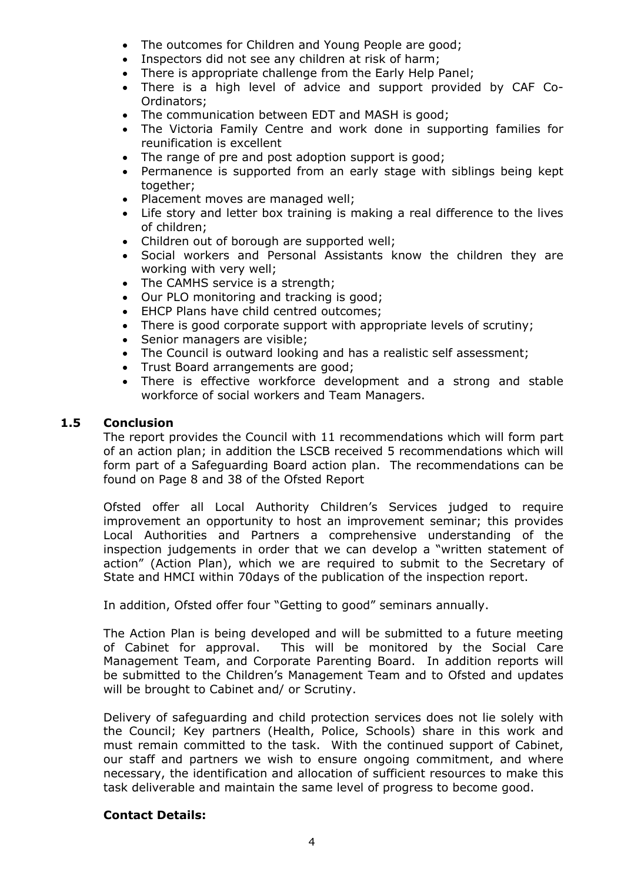- The outcomes for Children and Young People are good;
- Inspectors did not see any children at risk of harm;
- There is appropriate challenge from the Early Help Panel;
- There is a high level of advice and support provided by CAF Co-Ordinators;
- The communication between EDT and MASH is good;
- The Victoria Family Centre and work done in supporting families for reunification is excellent
- The range of pre and post adoption support is good;
- Permanence is supported from an early stage with siblings being kept together;
- Placement moves are managed well;
- Life story and letter box training is making a real difference to the lives of children;
- Children out of borough are supported well;
- Social workers and Personal Assistants know the children they are working with very well;
- The CAMHS service is a strength;
- Our PLO monitoring and tracking is good;
- EHCP Plans have child centred outcomes;
- There is good corporate support with appropriate levels of scrutiny;
- Senior managers are visible;
- The Council is outward looking and has a realistic self assessment;
- Trust Board arrangements are good;
- There is effective workforce development and a strong and stable workforce of social workers and Team Managers.

#### **1.5 Conclusion**

The report provides the Council with 11 recommendations which will form part of an action plan; in addition the LSCB received 5 recommendations which will form part of a Safeguarding Board action plan. The recommendations can be found on Page 8 and 38 of the Ofsted Report

Ofsted offer all Local Authority Children's Services judged to require improvement an opportunity to host an improvement seminar; this provides Local Authorities and Partners a comprehensive understanding of the inspection judgements in order that we can develop a "written statement of action" (Action Plan), which we are required to submit to the Secretary of State and HMCI within 70days of the publication of the inspection report.

In addition, Ofsted offer four "Getting to good" seminars annually.

The Action Plan is being developed and will be submitted to a future meeting of Cabinet for approval. This will be monitored by the Social Care Management Team, and Corporate Parenting Board. In addition reports will be submitted to the Children's Management Team and to Ofsted and updates will be brought to Cabinet and/ or Scrutiny.

Delivery of safeguarding and child protection services does not lie solely with the Council; Key partners (Health, Police, Schools) share in this work and must remain committed to the task. With the continued support of Cabinet, our staff and partners we wish to ensure ongoing commitment, and where necessary, the identification and allocation of sufficient resources to make this task deliverable and maintain the same level of progress to become good.

#### **Contact Details:**